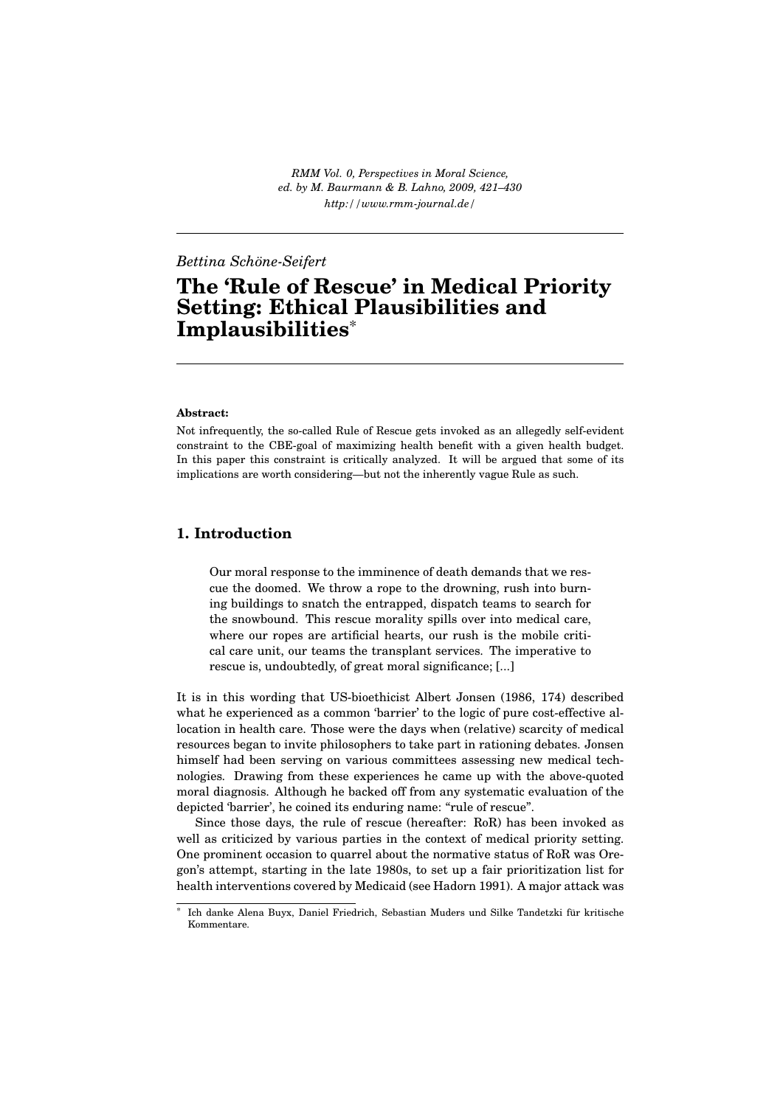*RMM Vol. 0, Perspectives in Moral Science, ed. by M. Baurmann & B. Lahno, 2009, 421–430 http://www.rmm-journal.de/*

## *Bettina Schöne-Seifert*

# **The 'Rule of Rescue' in Medical Priority Setting: Ethical Plausibilities and Implausibilities**\*

#### **Abstract:**

Not infrequently, the so-called Rule of Rescue gets invoked as an allegedly self-evident constraint to the CBE-goal of maximizing health benefit with a given health budget. In this paper this constraint is critically analyzed. It will be argued that some of its implications are worth considering—but not the inherently vague Rule as such.

## **1. Introduction**

Our moral response to the imminence of death demands that we rescue the doomed. We throw a rope to the drowning, rush into burning buildings to snatch the entrapped, dispatch teams to search for the snowbound. This rescue morality spills over into medical care, where our ropes are artificial hearts, our rush is the mobile critical care unit, our teams the transplant services. The imperative to rescue is, undoubtedly, of great moral significance; [...]

It is in this wording that US-bioethicist Albert Jonsen (1986, 174) described what he experienced as a common 'barrier' to the logic of pure cost-effective allocation in health care. Those were the days when (relative) scarcity of medical resources began to invite philosophers to take part in rationing debates. Jonsen himself had been serving on various committees assessing new medical technologies. Drawing from these experiences he came up with the above-quoted moral diagnosis. Although he backed off from any systematic evaluation of the depicted 'barrier', he coined its enduring name: "rule of rescue".

Since those days, the rule of rescue (hereafter: RoR) has been invoked as well as criticized by various parties in the context of medical priority setting. One prominent occasion to quarrel about the normative status of RoR was Oregon's attempt, starting in the late 1980s, to set up a fair prioritization list for health interventions covered by Medicaid (see Hadorn 1991). A major attack was

Ich danke Alena Buyx, Daniel Friedrich, Sebastian Muders und Silke Tandetzki für kritische Kommentare.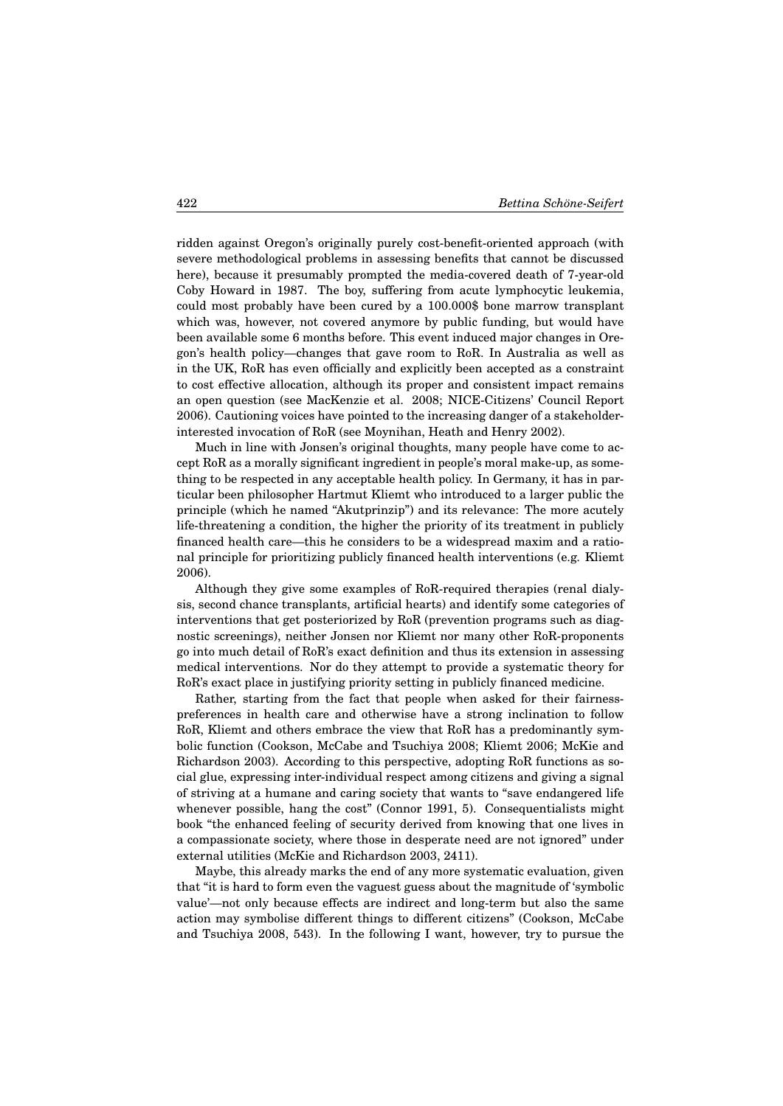ridden against Oregon's originally purely cost-benefit-oriented approach (with severe methodological problems in assessing benefits that cannot be discussed here), because it presumably prompted the media-covered death of 7-year-old Coby Howard in 1987. The boy, suffering from acute lymphocytic leukemia, could most probably have been cured by a 100.000\$ bone marrow transplant which was, however, not covered anymore by public funding, but would have been available some 6 months before. This event induced major changes in Oregon's health policy—changes that gave room to RoR. In Australia as well as in the UK, RoR has even officially and explicitly been accepted as a constraint to cost effective allocation, although its proper and consistent impact remains an open question (see MacKenzie et al. 2008; NICE-Citizens' Council Report 2006). Cautioning voices have pointed to the increasing danger of a stakeholderinterested invocation of RoR (see Moynihan, Heath and Henry 2002).

Much in line with Jonsen's original thoughts, many people have come to accept RoR as a morally significant ingredient in people's moral make-up, as something to be respected in any acceptable health policy. In Germany, it has in particular been philosopher Hartmut Kliemt who introduced to a larger public the principle (which he named "Akutprinzip") and its relevance: The more acutely life-threatening a condition, the higher the priority of its treatment in publicly financed health care—this he considers to be a widespread maxim and a rational principle for prioritizing publicly financed health interventions (e.g. Kliemt 2006).

Although they give some examples of RoR-required therapies (renal dialysis, second chance transplants, artificial hearts) and identify some categories of interventions that get posteriorized by RoR (prevention programs such as diagnostic screenings), neither Jonsen nor Kliemt nor many other RoR-proponents go into much detail of RoR's exact definition and thus its extension in assessing medical interventions. Nor do they attempt to provide a systematic theory for RoR's exact place in justifying priority setting in publicly financed medicine.

Rather, starting from the fact that people when asked for their fairnesspreferences in health care and otherwise have a strong inclination to follow RoR, Kliemt and others embrace the view that RoR has a predominantly symbolic function (Cookson, McCabe and Tsuchiya 2008; Kliemt 2006; McKie and Richardson 2003). According to this perspective, adopting RoR functions as social glue, expressing inter-individual respect among citizens and giving a signal of striving at a humane and caring society that wants to "save endangered life whenever possible, hang the cost" (Connor 1991, 5). Consequentialists might book "the enhanced feeling of security derived from knowing that one lives in a compassionate society, where those in desperate need are not ignored" under external utilities (McKie and Richardson 2003, 2411).

Maybe, this already marks the end of any more systematic evaluation, given that "it is hard to form even the vaguest guess about the magnitude of 'symbolic value'—not only because effects are indirect and long-term but also the same action may symbolise different things to different citizens" (Cookson, McCabe and Tsuchiya 2008, 543). In the following I want, however, try to pursue the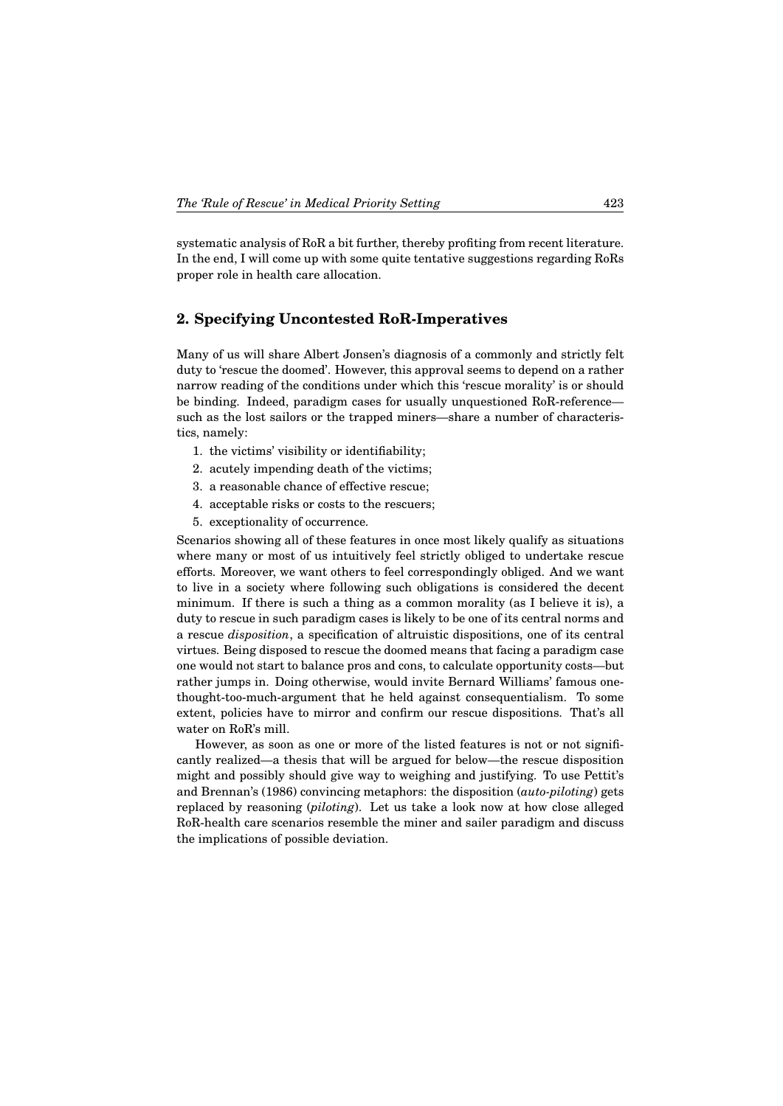systematic analysis of RoR a bit further, thereby profiting from recent literature. In the end, I will come up with some quite tentative suggestions regarding RoRs proper role in health care allocation.

## **2. Specifying Uncontested RoR-Imperatives**

Many of us will share Albert Jonsen's diagnosis of a commonly and strictly felt duty to 'rescue the doomed'. However, this approval seems to depend on a rather narrow reading of the conditions under which this 'rescue morality' is or should be binding. Indeed, paradigm cases for usually unquestioned RoR-reference such as the lost sailors or the trapped miners—share a number of characteristics, namely:

- 1. the victims' visibility or identifiability;
- 2. acutely impending death of the victims;
- 3. a reasonable chance of effective rescue;
- 4. acceptable risks or costs to the rescuers;
- 5. exceptionality of occurrence.

Scenarios showing all of these features in once most likely qualify as situations where many or most of us intuitively feel strictly obliged to undertake rescue efforts. Moreover, we want others to feel correspondingly obliged. And we want to live in a society where following such obligations is considered the decent minimum. If there is such a thing as a common morality (as I believe it is), a duty to rescue in such paradigm cases is likely to be one of its central norms and a rescue *disposition*, a specification of altruistic dispositions, one of its central virtues. Being disposed to rescue the doomed means that facing a paradigm case one would not start to balance pros and cons, to calculate opportunity costs—but rather jumps in. Doing otherwise, would invite Bernard Williams' famous onethought-too-much-argument that he held against consequentialism. To some extent, policies have to mirror and confirm our rescue dispositions. That's all water on RoR's mill.

However, as soon as one or more of the listed features is not or not significantly realized—a thesis that will be argued for below—the rescue disposition might and possibly should give way to weighing and justifying. To use Pettit's and Brennan's (1986) convincing metaphors: the disposition (*auto-piloting*) gets replaced by reasoning (*piloting*). Let us take a look now at how close alleged RoR-health care scenarios resemble the miner and sailer paradigm and discuss the implications of possible deviation.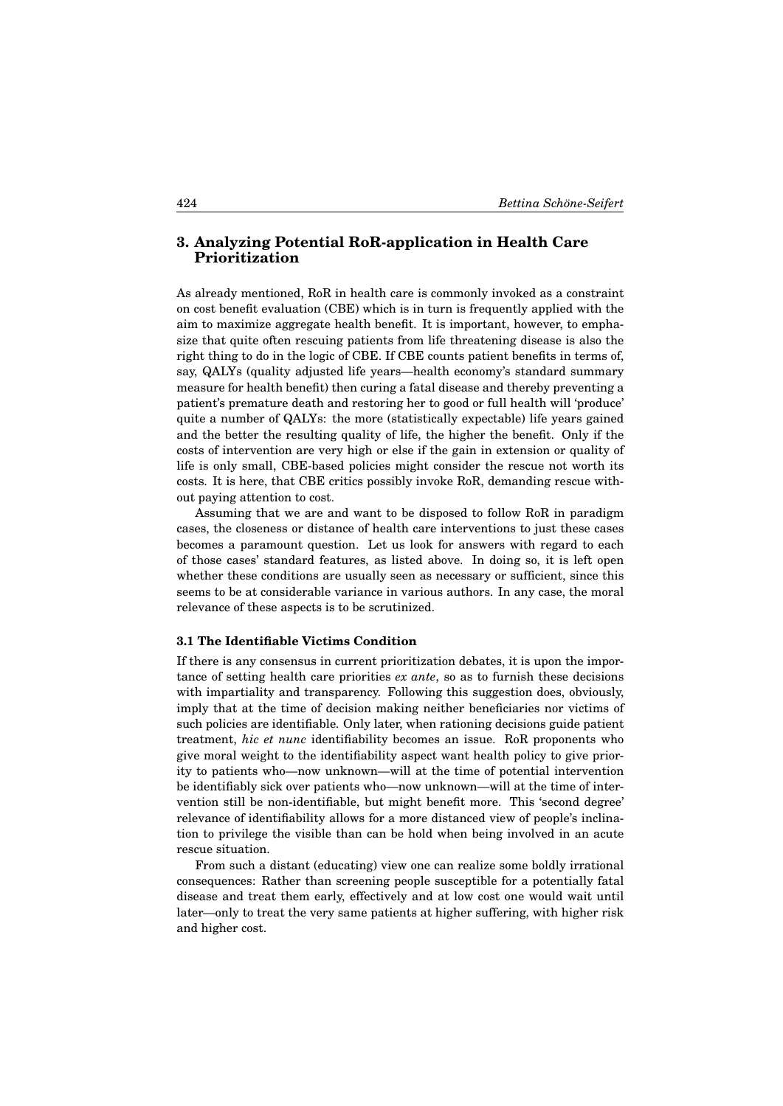# **3. Analyzing Potential RoR-application in Health Care Prioritization**

As already mentioned, RoR in health care is commonly invoked as a constraint on cost benefit evaluation (CBE) which is in turn is frequently applied with the aim to maximize aggregate health benefit. It is important, however, to emphasize that quite often rescuing patients from life threatening disease is also the right thing to do in the logic of CBE. If CBE counts patient benefits in terms of, say, QALYs (quality adjusted life years—health economy's standard summary measure for health benefit) then curing a fatal disease and thereby preventing a patient's premature death and restoring her to good or full health will 'produce' quite a number of QALYs: the more (statistically expectable) life years gained and the better the resulting quality of life, the higher the benefit. Only if the costs of intervention are very high or else if the gain in extension or quality of life is only small, CBE-based policies might consider the rescue not worth its costs. It is here, that CBE critics possibly invoke RoR, demanding rescue without paying attention to cost.

Assuming that we are and want to be disposed to follow RoR in paradigm cases, the closeness or distance of health care interventions to just these cases becomes a paramount question. Let us look for answers with regard to each of those cases' standard features, as listed above. In doing so, it is left open whether these conditions are usually seen as necessary or sufficient, since this seems to be at considerable variance in various authors. In any case, the moral relevance of these aspects is to be scrutinized.

#### **3.1 The Identifiable Victims Condition**

If there is any consensus in current prioritization debates, it is upon the importance of setting health care priorities *ex ante*, so as to furnish these decisions with impartiality and transparency. Following this suggestion does, obviously, imply that at the time of decision making neither beneficiaries nor victims of such policies are identifiable. Only later, when rationing decisions guide patient treatment, *hic et nunc* identifiability becomes an issue. RoR proponents who give moral weight to the identifiability aspect want health policy to give priority to patients who—now unknown—will at the time of potential intervention be identifiably sick over patients who—now unknown—will at the time of intervention still be non-identifiable, but might benefit more. This 'second degree' relevance of identifiability allows for a more distanced view of people's inclination to privilege the visible than can be hold when being involved in an acute rescue situation.

From such a distant (educating) view one can realize some boldly irrational consequences: Rather than screening people susceptible for a potentially fatal disease and treat them early, effectively and at low cost one would wait until later—only to treat the very same patients at higher suffering, with higher risk and higher cost.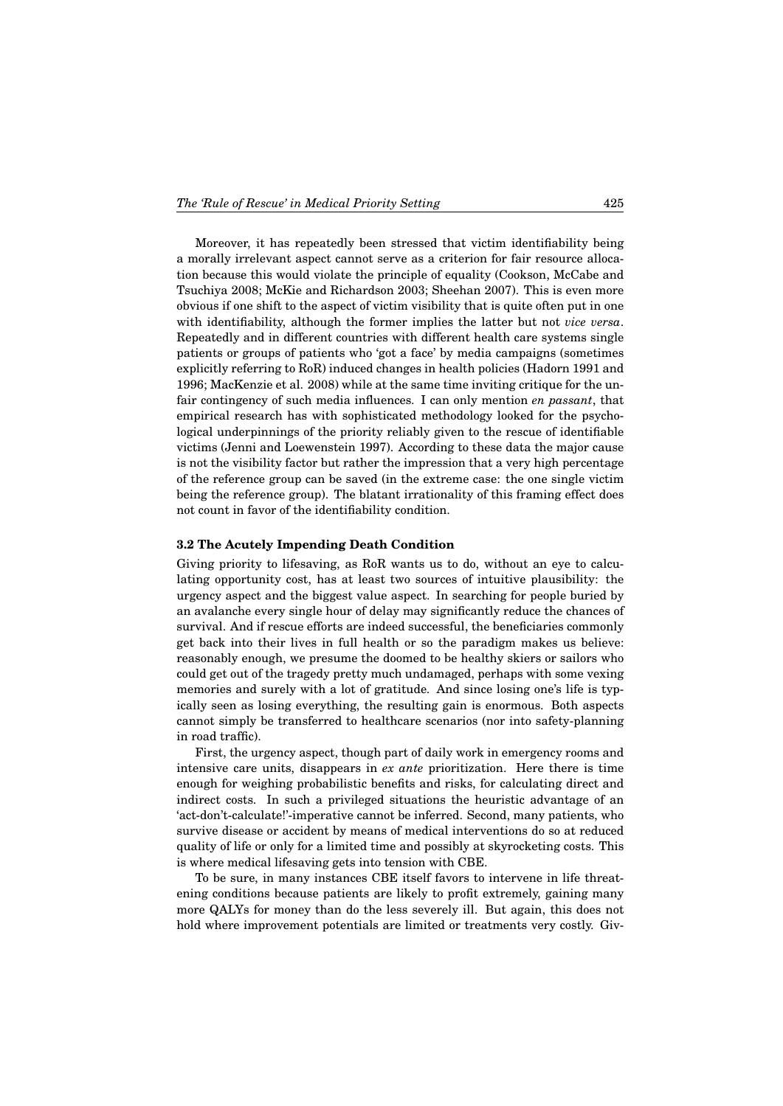Moreover, it has repeatedly been stressed that victim identifiability being a morally irrelevant aspect cannot serve as a criterion for fair resource allocation because this would violate the principle of equality (Cookson, McCabe and Tsuchiya 2008; McKie and Richardson 2003; Sheehan 2007). This is even more obvious if one shift to the aspect of victim visibility that is quite often put in one with identifiability, although the former implies the latter but not *vice versa*. Repeatedly and in different countries with different health care systems single patients or groups of patients who 'got a face' by media campaigns (sometimes explicitly referring to RoR) induced changes in health policies (Hadorn 1991 and 1996; MacKenzie et al. 2008) while at the same time inviting critique for the unfair contingency of such media influences. I can only mention *en passant*, that empirical research has with sophisticated methodology looked for the psychological underpinnings of the priority reliably given to the rescue of identifiable victims (Jenni and Loewenstein 1997). According to these data the major cause is not the visibility factor but rather the impression that a very high percentage of the reference group can be saved (in the extreme case: the one single victim being the reference group). The blatant irrationality of this framing effect does not count in favor of the identifiability condition.

#### **3.2 The Acutely Impending Death Condition**

Giving priority to lifesaving, as RoR wants us to do, without an eye to calculating opportunity cost, has at least two sources of intuitive plausibility: the urgency aspect and the biggest value aspect. In searching for people buried by an avalanche every single hour of delay may significantly reduce the chances of survival. And if rescue efforts are indeed successful, the beneficiaries commonly get back into their lives in full health or so the paradigm makes us believe: reasonably enough, we presume the doomed to be healthy skiers or sailors who could get out of the tragedy pretty much undamaged, perhaps with some vexing memories and surely with a lot of gratitude. And since losing one's life is typically seen as losing everything, the resulting gain is enormous. Both aspects cannot simply be transferred to healthcare scenarios (nor into safety-planning in road traffic).

First, the urgency aspect, though part of daily work in emergency rooms and intensive care units, disappears in *ex ante* prioritization. Here there is time enough for weighing probabilistic benefits and risks, for calculating direct and indirect costs. In such a privileged situations the heuristic advantage of an 'act-don't-calculate!'-imperative cannot be inferred. Second, many patients, who survive disease or accident by means of medical interventions do so at reduced quality of life or only for a limited time and possibly at skyrocketing costs. This is where medical lifesaving gets into tension with CBE.

To be sure, in many instances CBE itself favors to intervene in life threatening conditions because patients are likely to profit extremely, gaining many more QALYs for money than do the less severely ill. But again, this does not hold where improvement potentials are limited or treatments very costly. Giv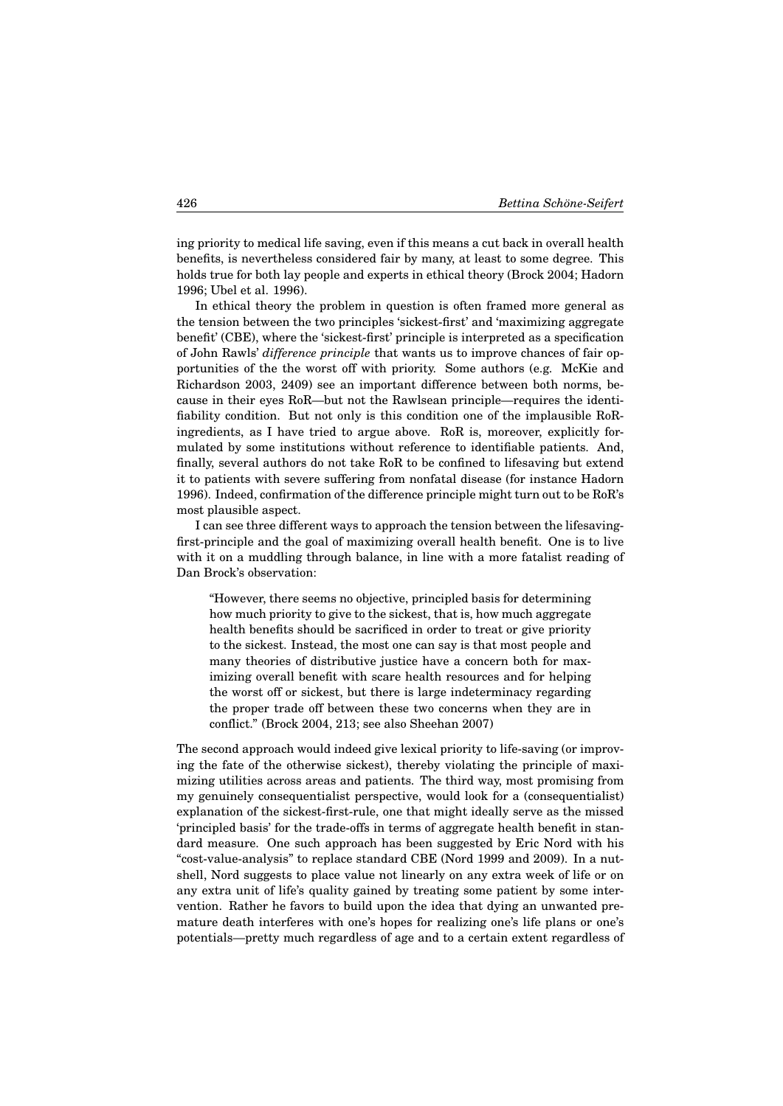ing priority to medical life saving, even if this means a cut back in overall health benefits, is nevertheless considered fair by many, at least to some degree. This holds true for both lay people and experts in ethical theory (Brock 2004; Hadorn 1996; Ubel et al. 1996).

In ethical theory the problem in question is often framed more general as the tension between the two principles 'sickest-first' and 'maximizing aggregate benefit' (CBE), where the 'sickest-first' principle is interpreted as a specification of John Rawls' *difference principle* that wants us to improve chances of fair opportunities of the the worst off with priority. Some authors (e.g. McKie and Richardson 2003, 2409) see an important difference between both norms, because in their eyes RoR—but not the Rawlsean principle—requires the identifiability condition. But not only is this condition one of the implausible RoRingredients, as I have tried to argue above. RoR is, moreover, explicitly formulated by some institutions without reference to identifiable patients. And, finally, several authors do not take RoR to be confined to lifesaving but extend it to patients with severe suffering from nonfatal disease (for instance Hadorn 1996). Indeed, confirmation of the difference principle might turn out to be RoR's most plausible aspect.

I can see three different ways to approach the tension between the lifesavingfirst-principle and the goal of maximizing overall health benefit. One is to live with it on a muddling through balance, in line with a more fatalist reading of Dan Brock's observation:

"However, there seems no objective, principled basis for determining how much priority to give to the sickest, that is, how much aggregate health benefits should be sacrificed in order to treat or give priority to the sickest. Instead, the most one can say is that most people and many theories of distributive justice have a concern both for maximizing overall benefit with scare health resources and for helping the worst off or sickest, but there is large indeterminacy regarding the proper trade off between these two concerns when they are in conflict." (Brock 2004, 213; see also Sheehan 2007)

The second approach would indeed give lexical priority to life-saving (or improving the fate of the otherwise sickest), thereby violating the principle of maximizing utilities across areas and patients. The third way, most promising from my genuinely consequentialist perspective, would look for a (consequentialist) explanation of the sickest-first-rule, one that might ideally serve as the missed 'principled basis' for the trade-offs in terms of aggregate health benefit in standard measure. One such approach has been suggested by Eric Nord with his "cost-value-analysis" to replace standard CBE (Nord 1999 and 2009). In a nutshell, Nord suggests to place value not linearly on any extra week of life or on any extra unit of life's quality gained by treating some patient by some intervention. Rather he favors to build upon the idea that dying an unwanted premature death interferes with one's hopes for realizing one's life plans or one's potentials—pretty much regardless of age and to a certain extent regardless of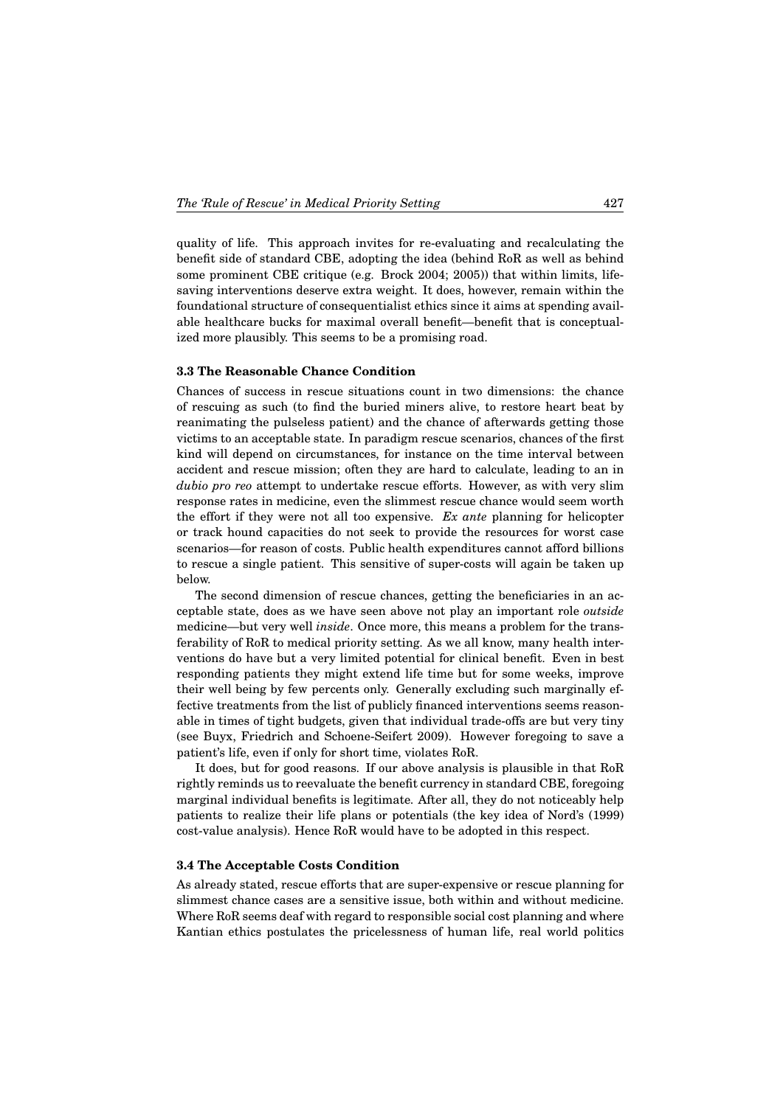quality of life. This approach invites for re-evaluating and recalculating the benefit side of standard CBE, adopting the idea (behind RoR as well as behind some prominent CBE critique (e.g. Brock 2004; 2005)) that within limits, lifesaving interventions deserve extra weight. It does, however, remain within the foundational structure of consequentialist ethics since it aims at spending available healthcare bucks for maximal overall benefit—benefit that is conceptualized more plausibly. This seems to be a promising road.

#### **3.3 The Reasonable Chance Condition**

Chances of success in rescue situations count in two dimensions: the chance of rescuing as such (to find the buried miners alive, to restore heart beat by reanimating the pulseless patient) and the chance of afterwards getting those victims to an acceptable state. In paradigm rescue scenarios, chances of the first kind will depend on circumstances, for instance on the time interval between accident and rescue mission; often they are hard to calculate, leading to an in *dubio pro reo* attempt to undertake rescue efforts. However, as with very slim response rates in medicine, even the slimmest rescue chance would seem worth the effort if they were not all too expensive. *Ex ante* planning for helicopter or track hound capacities do not seek to provide the resources for worst case scenarios—for reason of costs. Public health expenditures cannot afford billions to rescue a single patient. This sensitive of super-costs will again be taken up below.

The second dimension of rescue chances, getting the beneficiaries in an acceptable state, does as we have seen above not play an important role *outside* medicine—but very well *inside*. Once more, this means a problem for the transferability of RoR to medical priority setting. As we all know, many health interventions do have but a very limited potential for clinical benefit. Even in best responding patients they might extend life time but for some weeks, improve their well being by few percents only. Generally excluding such marginally effective treatments from the list of publicly financed interventions seems reasonable in times of tight budgets, given that individual trade-offs are but very tiny (see Buyx, Friedrich and Schoene-Seifert 2009). However foregoing to save a patient's life, even if only for short time, violates RoR.

It does, but for good reasons. If our above analysis is plausible in that RoR rightly reminds us to reevaluate the benefit currency in standard CBE, foregoing marginal individual benefits is legitimate. After all, they do not noticeably help patients to realize their life plans or potentials (the key idea of Nord's (1999) cost-value analysis). Hence RoR would have to be adopted in this respect.

#### **3.4 The Acceptable Costs Condition**

As already stated, rescue efforts that are super-expensive or rescue planning for slimmest chance cases are a sensitive issue, both within and without medicine. Where RoR seems deaf with regard to responsible social cost planning and where Kantian ethics postulates the pricelessness of human life, real world politics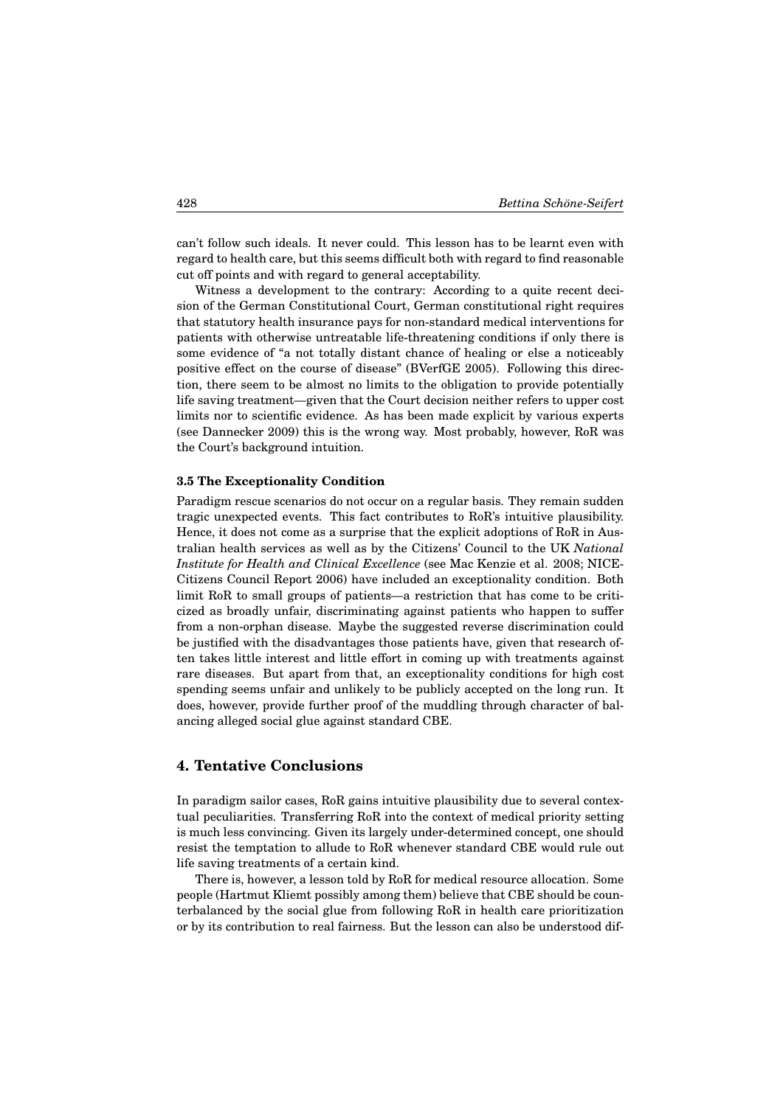can't follow such ideals. It never could. This lesson has to be learnt even with regard to health care, but this seems difficult both with regard to find reasonable cut off points and with regard to general acceptability.

Witness a development to the contrary: According to a quite recent decision of the German Constitutional Court, German constitutional right requires that statutory health insurance pays for non-standard medical interventions for patients with otherwise untreatable life-threatening conditions if only there is some evidence of "a not totally distant chance of healing or else a noticeably positive effect on the course of disease" (BVerfGE 2005). Following this direction, there seem to be almost no limits to the obligation to provide potentially life saving treatment—given that the Court decision neither refers to upper cost limits nor to scientific evidence. As has been made explicit by various experts (see Dannecker 2009) this is the wrong way. Most probably, however, RoR was the Court's background intuition.

#### **3.5 The Exceptionality Condition**

Paradigm rescue scenarios do not occur on a regular basis. They remain sudden tragic unexpected events. This fact contributes to RoR's intuitive plausibility. Hence, it does not come as a surprise that the explicit adoptions of RoR in Australian health services as well as by the Citizens' Council to the UK *National Institute for Health and Clinical Excellence* (see Mac Kenzie et al. 2008; NICE-Citizens Council Report 2006) have included an exceptionality condition. Both limit RoR to small groups of patients—a restriction that has come to be criticized as broadly unfair, discriminating against patients who happen to suffer from a non-orphan disease. Maybe the suggested reverse discrimination could be justified with the disadvantages those patients have, given that research often takes little interest and little effort in coming up with treatments against rare diseases. But apart from that, an exceptionality conditions for high cost spending seems unfair and unlikely to be publicly accepted on the long run. It does, however, provide further proof of the muddling through character of balancing alleged social glue against standard CBE.

### **4. Tentative Conclusions**

In paradigm sailor cases, RoR gains intuitive plausibility due to several contextual peculiarities. Transferring RoR into the context of medical priority setting is much less convincing. Given its largely under-determined concept, one should resist the temptation to allude to RoR whenever standard CBE would rule out life saving treatments of a certain kind.

There is, however, a lesson told by RoR for medical resource allocation. Some people (Hartmut Kliemt possibly among them) believe that CBE should be counterbalanced by the social glue from following RoR in health care prioritization or by its contribution to real fairness. But the lesson can also be understood dif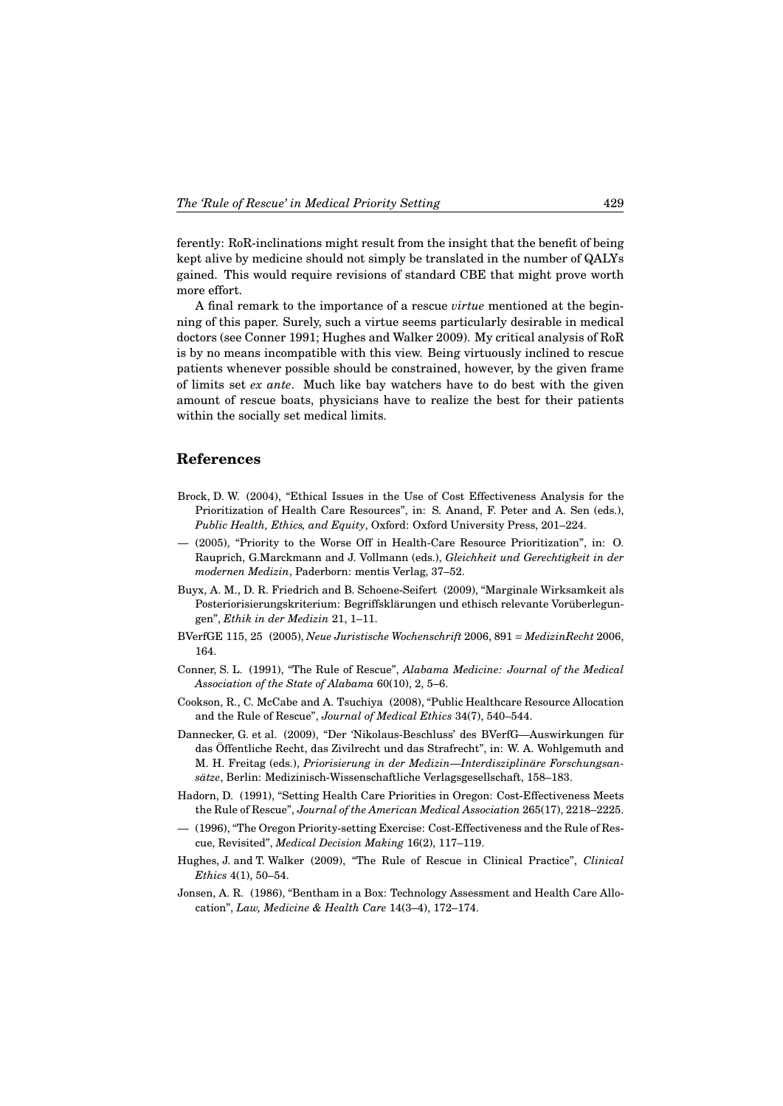ferently: RoR-inclinations might result from the insight that the benefit of being kept alive by medicine should not simply be translated in the number of QALYs gained. This would require revisions of standard CBE that might prove worth more effort.

A final remark to the importance of a rescue *virtue* mentioned at the beginning of this paper. Surely, such a virtue seems particularly desirable in medical doctors (see Conner 1991; Hughes and Walker 2009). My critical analysis of RoR is by no means incompatible with this view. Being virtuously inclined to rescue patients whenever possible should be constrained, however, by the given frame of limits set *ex ante*. Much like bay watchers have to do best with the given amount of rescue boats, physicians have to realize the best for their patients within the socially set medical limits.

## **References**

- Brock, D. W. (2004), "Ethical Issues in the Use of Cost Effectiveness Analysis for the Prioritization of Health Care Resources", in: S. Anand, F. Peter and A. Sen (eds.), *Public Health, Ethics, and Equity*, Oxford: Oxford University Press, 201–224.
- (2005), "Priority to the Worse Off in Health-Care Resource Prioritization", in: O. Rauprich, G.Marckmann and J. Vollmann (eds.), *Gleichheit und Gerechtigkeit in der modernen Medizin*, Paderborn: mentis Verlag, 37–52.
- Buyx, A. M., D. R. Friedrich and B. Schoene-Seifert (2009), "Marginale Wirksamkeit als Posteriorisierungskriterium: Begriffsklärungen und ethisch relevante Vorüberlegungen", *Ethik in der Medizin* 21, 1–11.
- BVerfGE 115, 25 (2005), *Neue Juristische Wochenschrift* 2006, 891 = *MedizinRecht* 2006, 164.
- Conner, S. L. (1991), "The Rule of Rescue", *Alabama Medicine: Journal of the Medical Association of the State of Alabama* 60(10), 2, 5–6.
- Cookson, R., C. McCabe and A. Tsuchiya (2008), "Public Healthcare Resource Allocation and the Rule of Rescue", *Journal of Medical Ethics* 34(7), 540–544.
- Dannecker, G. et al. (2009), "Der 'Nikolaus-Beschluss' des BVerfG—Auswirkungen für das Öffentliche Recht, das Zivilrecht und das Strafrecht", in: W. A. Wohlgemuth and M. H. Freitag (eds.), *Priorisierung in der Medizin—Interdisziplinäre Forschungsansätze*, Berlin: Medizinisch-Wissenschaftliche Verlagsgesellschaft, 158–183.
- Hadorn, D. (1991), "Setting Health Care Priorities in Oregon: Cost-Effectiveness Meets the Rule of Rescue", *Journal of the American Medical Association* 265(17), 2218–2225.
- (1996), "The Oregon Priority-setting Exercise: Cost-Effectiveness and the Rule of Rescue, Revisited", *Medical Decision Making* 16(2), 117–119.
- Hughes, J. and T. Walker (2009), "The Rule of Rescue in Clinical Practice", *Clinical Ethics* 4(1), 50–54.
- Jonsen, A. R. (1986), "Bentham in a Box: Technology Assessment and Health Care Allocation", *Law, Medicine & Health Care* 14(3–4), 172–174.